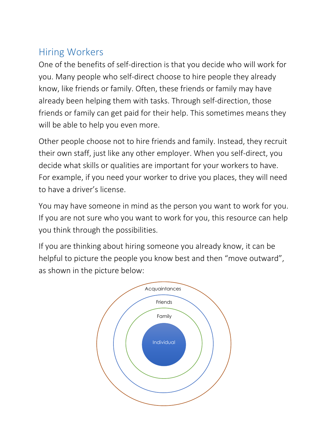# Hiring Workers

One of the benefits of self-direction is that you decide who will work for you. Many people who self-direct choose to hire people they already know, like friends or family. Often, these friends or family may have already been helping them with tasks. Through self-direction, those friends or family can get paid for their help. This sometimes means they will be able to help you even more.

Other people choose not to hire friends and family. Instead, they recruit their own staff, just like any other employer. When you self-direct, you decide what skills or qualities are important for your workers to have. For example, if you need your worker to drive you places, they will need to have a driver's license.

You may have someone in mind as the person you want to work for you. If you are not sure who you want to work for you, this resource can help you think through the possibilities.

If you are thinking about hiring someone you already know, it can be helpful to picture the people you know best and then "move outward", as shown in the picture below:

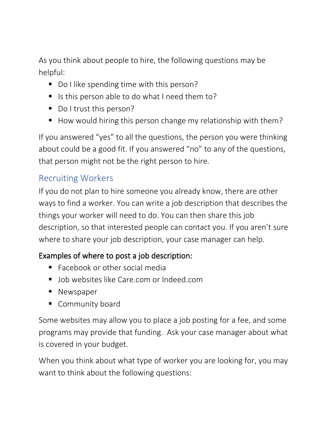As you think about people to hire, the following questions may be helpful:

- Do I like spending time with this person?
- Is this person able to do what I need them to?
- Do I trust this person?
- How would hiring this person change my relationship with them?

If you answered "yes" to all the questions, the person you were thinking about could be a good fit. If you answered "no" to any of the questions, that person might not be the right person to hire.

#### Recruiting Workers

If you do not plan to hire someone you already know, there are other ways to find a worker. You can write a job description that describes the things your worker will need to do. You can then share this job description, so that interested people can contact you. If you aren't sure where to share your job description, your case manager can help.

#### Examples of where to post a job description:

- Facebook or other social media
- Job websites like Care.com or Indeed.com
- Newspaper
- Community board

Some websites may allow you to place a job posting for a fee, and some programs may provide that funding. Ask your case manager about what is covered in your budget.

When you think about what type of worker you are looking for, you may want to think about the following questions: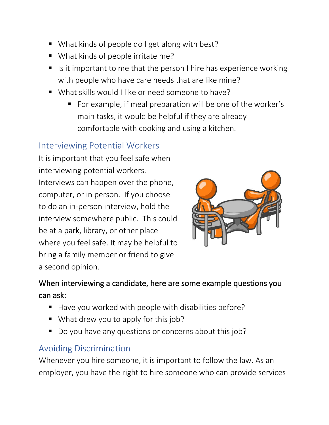- What kinds of people do I get along with best?
- What kinds of people irritate me?
- $\blacksquare$  Is it important to me that the person I hire has experience working with people who have care needs that are like mine?
- What skills would I like or need someone to have?
	- For example, if meal preparation will be one of the worker's main tasks, it would be helpful if they are already comfortable with cooking and using a kitchen.

#### Interviewing Potential Workers

It is important that you feel safe when interviewing potential workers. Interviews can happen over the phone, computer, or in person. If you choose to do an in-person interview, hold the interview somewhere public. This could be at a park, library, or other place where you feel safe. It may be helpful to bring a family member or friend to give a second opinion.



### When interviewing a candidate, here are some example questions you can ask:

- Have you worked with people with disabilities before?
- What drew you to apply for this job?
- Do you have any questions or concerns about this job?

## Avoiding Discrimination

Whenever you hire someone, it is important to follow the law. As an employer, you have the right to hire someone who can provide services